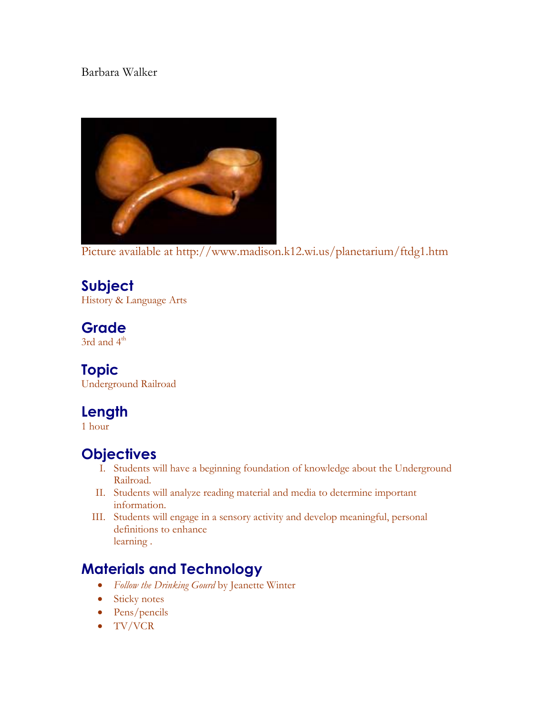#### Barbara Walker



Picture available at http://www.madison.k12.wi.us/planetarium/ftdg1.htm

## **Subject**

History & Language Arts

## **Grade**

3rd and 4<sup>th</sup>

## **Topic**

Underground Railroad

# **Length**

1 hour

## **Objectives**

- I. Students will have a beginning foundation of knowledge about the Underground Railroad.
- II. Students will analyze reading material and media to determine important information.
- III. Students will engage in a sensory activity and develop meaningful, personal definitions to enhance learning .

## **Materials and Technology**

- *Follow the Drinking Gourd* by Jeanette Winter
- Sticky notes
- Pens/pencils
- TV/VCR